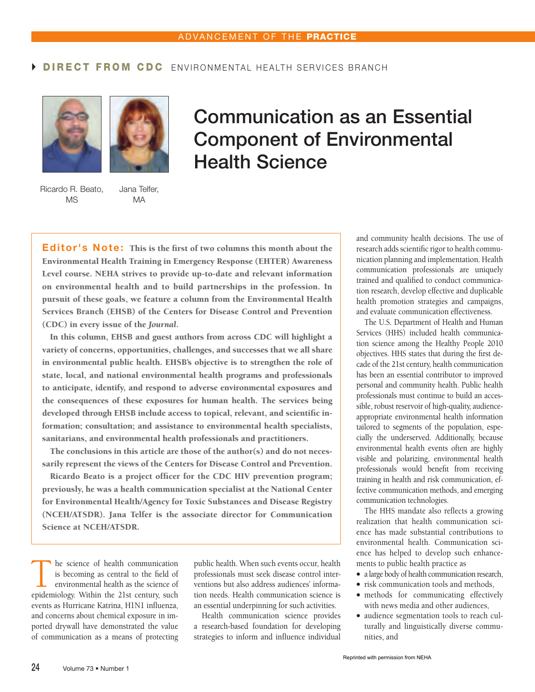## DIRECT FROM CDC ENVIRONMENTAL HEALTH SERVICES BRANCH





Ricardo R. Beato, Jana Telfer, MS MA

## Communication as an Essential Component of Environmental Health Science

Editor's Note: This is the first of two columns this month about the Environmental Health Training in Emergency Response (EHTER) Awareness Level course. NEHA strives to provide up-to-date and relevant information on environmental health and to build partnerships in the profession. In pursuit of these goals, we feature a column from the Environmental Health Services Branch (EHSB) of the Centers for Disease Control and Prevention (CDC) in every issue of the *Journal*.

In this column, EHSB and guest authors from across CDC will highlight a variety of concerns, opportunities, challenges, and successes that we all share in environmental public health. EHSB's objective is to strengthen the role of state, local, and national environmental health programs and professionals to anticipate, identify, and respond to adverse environmental exposures and the consequences of these exposures for human health. The services being developed through EHSB include access to topical, relevant, and scientific information; consultation; and assistance to environmental health specialists, sanitarians, and environmental health professionals and practitioners.

The conclusions in this article are those of the author(s) and do not necessarily represent the views of the Centers for Disease Control and Prevention.

Ricardo Beato is a project officer for the CDC HIV prevention program; previously, he was a health communication specialist at the National Center for Environmental Health/Agency for Toxic Substances and Disease Registry (NCEH/ATSDR). Jana Telfer is the associate director for Communication Science at NCEH/ATSDR.

The science of health communication<br>
is becoming as central to the field of<br>
environmental health as the science of<br>
enidemiology Within the 21st century such is becoming as central to the field of epidemiology. Within the 21st century, such events as Hurricane Katrina, H1N1 influenza, and concerns about chemical exposure in imported drywall have demonstrated the value of communication as a means of protecting

public health. When such events occur, health professionals must seek disease control interventions but also address audiences' information needs. Health communication science is an essential underpinning for such activities.

Health communication science provides a research-based foundation for developing strategies to inform and influence individual and community health decisions. The use of research adds scientific rigor to health communication planning and implementation. Health communication professionals are uniquely trained and qualified to conduct communication research, develop effective and duplicable health promotion strategies and campaigns, and evaluate communication effectiveness.

The U.S. Department of Health and Human Services (HHS) included health communication science among the Healthy People 2010 objectives. HHS states that during the first decade of the 21st century, health communication has been an essential contributor to improved personal and community health. Public health professionals must continue to build an accessible, robust reservoir of high-quality, audienceappropriate environmental health information tailored to segments of the population, especially the underserved. Additionally, because environmental health events often are highly visible and polarizing, environmental health professionals would benefit from receiving training in health and risk communication, effective communication methods, and emerging communication technologies.

The HHS mandate also reflects a growing realization that health communication science has made substantial contributions to environmental health. Communication science has helped to develop such enhancements to public health practice as

- a large body of health communication research,
- risk communication tools and methods,
- methods for communicating effectively with news media and other audiences,
- audience segmentation tools to reach culturally and linguistically diverse communities, and